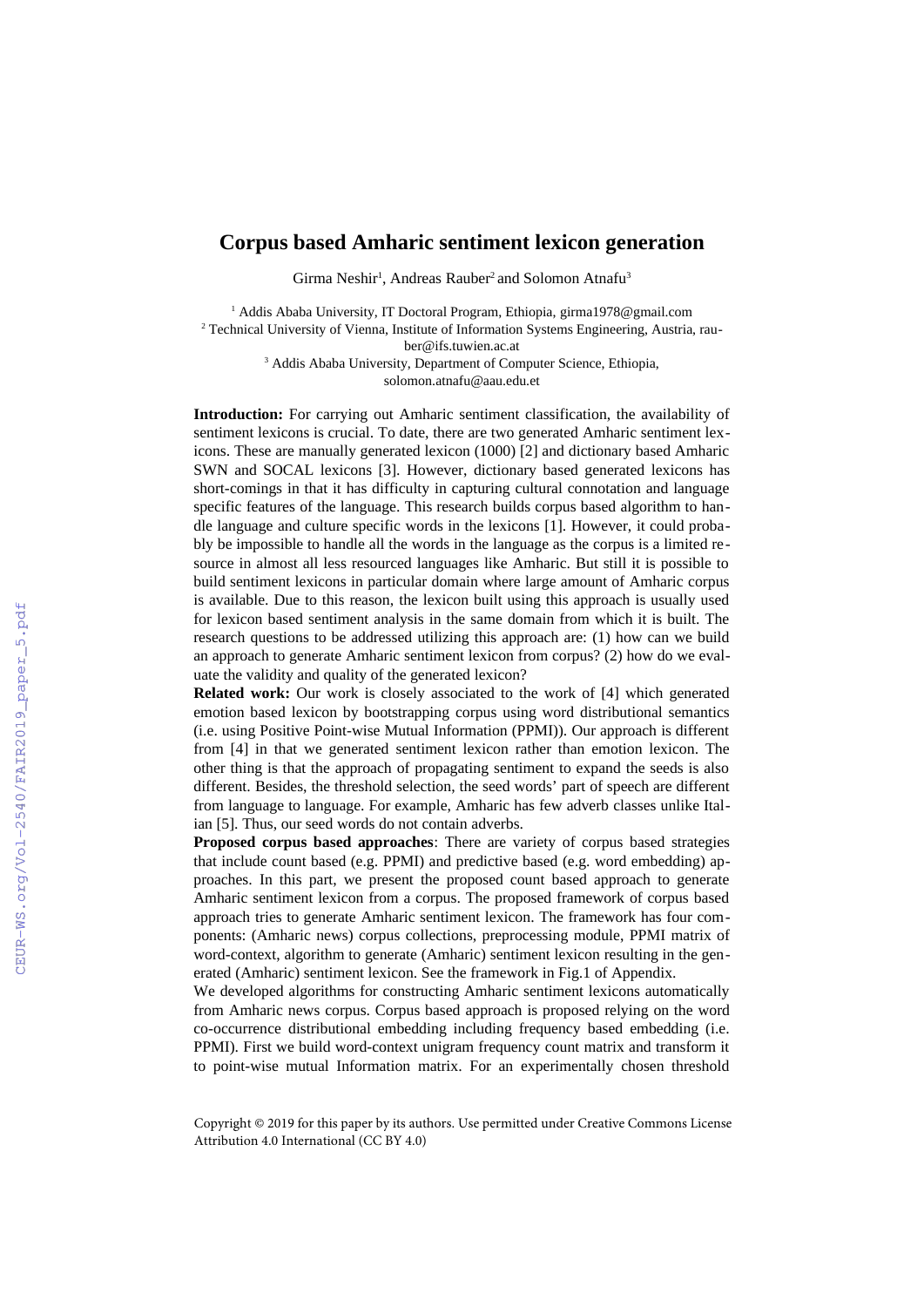## **Corpus based Amharic sentiment lexicon generation**

Girma Neshir<sup>1</sup>, Andreas Rauber<sup>2</sup> and Solomon Atnafu<sup>3</sup>

<sup>1</sup> Addis Ababa University, IT Doctoral Program, Ethiopia, girma1978@gmail.com <sup>2</sup> Technical University of Vienna, Institute of Information Systems Engineering, Austria, rauber@ifs.tuwien.ac.at

> <sup>3</sup> Addis Ababa University, Department of Computer Science, Ethiopia, solomon.atnafu@aau.edu.et

**Introduction:** For carrying out Amharic sentiment classification, the availability of sentiment lexicons is crucial. To date, there are two generated Amharic sentiment lexicons. These are manually generated lexicon (1000) [2] and dictionary based Amharic SWN and SOCAL lexicons [3]. However, dictionary based generated lexicons has short-comings in that it has difficulty in capturing cultural connotation and language specific features of the language. This research builds corpus based algorithm to handle language and culture specific words in the lexicons [1]. However, it could probably be impossible to handle all the words in the language as the corpus is a limited resource in almost all less resourced languages like Amharic. But still it is possible to build sentiment lexicons in particular domain where large amount of Amharic corpus is available. Due to this reason, the lexicon built using this approach is usually used for lexicon based sentiment analysis in the same domain from which it is built. The research questions to be addressed utilizing this approach are: (1) how can we build an approach to generate Amharic sentiment lexicon from corpus? (2) how do we evaluate the validity and quality of the generated lexicon?

**Related work:** Our work is closely associated to the work of [4] which generated emotion based lexicon by bootstrapping corpus using word distributional semantics (i.e. using Positive Point-wise Mutual Information (PPMI)). Our approach is different from [4] in that we generated sentiment lexicon rather than emotion lexicon. The other thing is that the approach of propagating sentiment to expand the seeds is also different. Besides, the threshold selection, the seed words' part of speech are different from language to language. For example, Amharic has few adverb classes unlike Italian [5]. Thus, our seed words do not contain adverbs.

**Proposed corpus based approaches**: There are variety of corpus based strategies that include count based (e.g. PPMI) and predictive based (e.g. word embedding) approaches. In this part, we present the proposed count based approach to generate Amharic sentiment lexicon from a corpus. The proposed framework of corpus based approach tries to generate Amharic sentiment lexicon. The framework has four components: (Amharic news) corpus collections, preprocessing module, PPMI matrix of word-context, algorithm to generate (Amharic) sentiment lexicon resulting in the generated (Amharic) sentiment lexicon. See the framework in Fig.1 of Appendix.

We developed algorithms for constructing Amharic sentiment lexicons automatically from Amharic news corpus. Corpus based approach is proposed relying on the word co-occurrence distributional embedding including frequency based embedding (i.e. PPMI). First we build word-context unigram frequency count matrix and transform it to point-wise mutual Information matrix. For an experimentally chosen threshold

Copyright © 2019 for this paper by its authors. Use permitted under Creative Commons License Attribution 4.0 International (CC BY 4.0)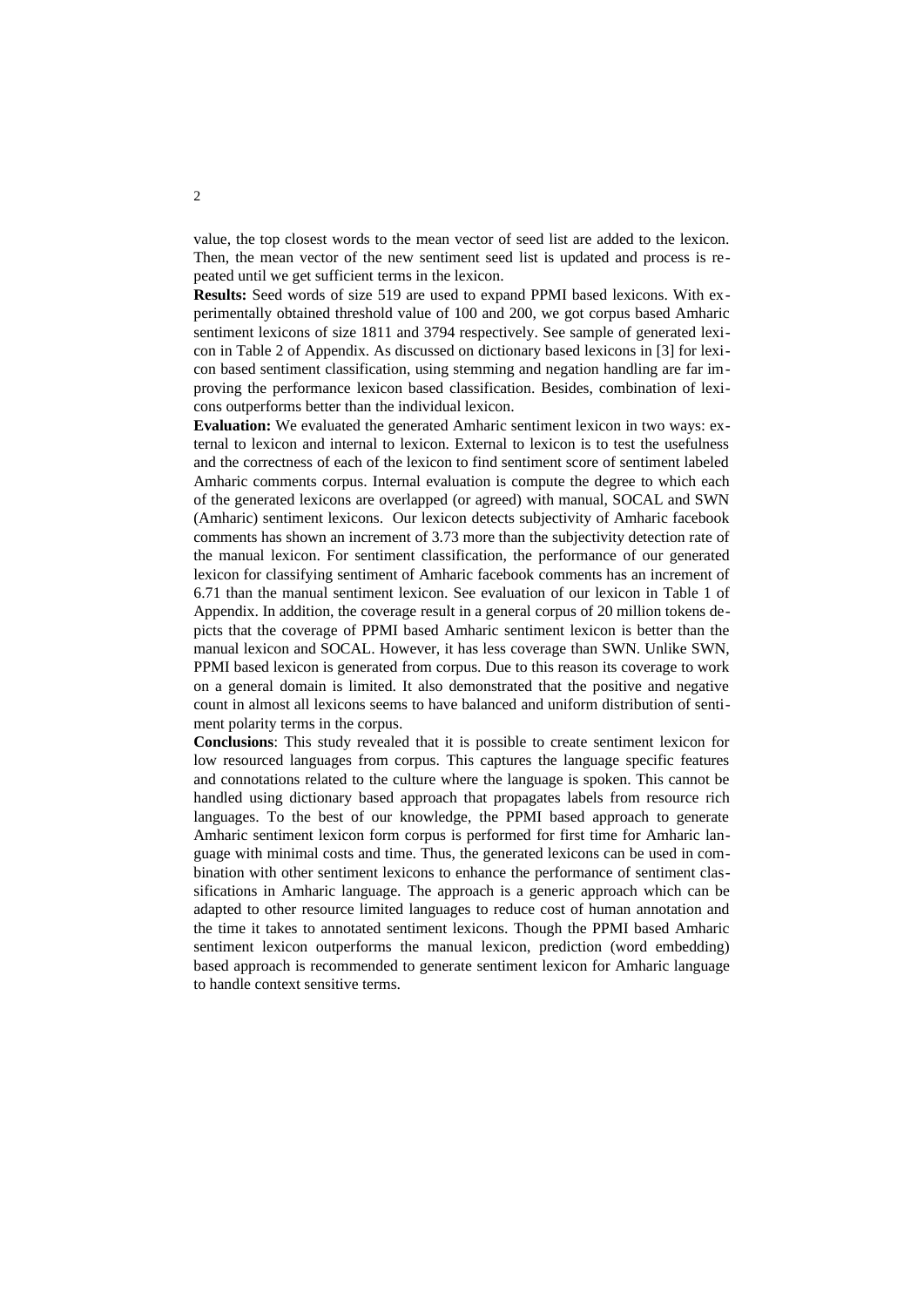value, the top closest words to the mean vector of seed list are added to the lexicon. Then, the mean vector of the new sentiment seed list is updated and process is repeated until we get sufficient terms in the lexicon.

**Results:** Seed words of size 519 are used to expand PPMI based lexicons. With experimentally obtained threshold value of 100 and 200, we got corpus based Amharic sentiment lexicons of size 1811 and 3794 respectively. See sample of generated lexicon in Table 2 of Appendix. As discussed on dictionary based lexicons in [3] for lexicon based sentiment classification, using stemming and negation handling are far improving the performance lexicon based classification. Besides, combination of lexicons outperforms better than the individual lexicon.

**Evaluation:** We evaluated the generated Amharic sentiment lexicon in two ways: external to lexicon and internal to lexicon. External to lexicon is to test the usefulness and the correctness of each of the lexicon to find sentiment score of sentiment labeled Amharic comments corpus. Internal evaluation is compute the degree to which each of the generated lexicons are overlapped (or agreed) with manual, SOCAL and SWN (Amharic) sentiment lexicons. Our lexicon detects subjectivity of Amharic facebook comments has shown an increment of 3.73 more than the subjectivity detection rate of the manual lexicon. For sentiment classification, the performance of our generated lexicon for classifying sentiment of Amharic facebook comments has an increment of 6.71 than the manual sentiment lexicon. See evaluation of our lexicon in Table 1 of Appendix. In addition, the coverage result in a general corpus of 20 million tokens depicts that the coverage of PPMI based Amharic sentiment lexicon is better than the manual lexicon and SOCAL. However, it has less coverage than SWN. Unlike SWN, PPMI based lexicon is generated from corpus. Due to this reason its coverage to work on a general domain is limited. It also demonstrated that the positive and negative count in almost all lexicons seems to have balanced and uniform distribution of sentiment polarity terms in the corpus.

**Conclusions**: This study revealed that it is possible to create sentiment lexicon for low resourced languages from corpus. This captures the language specific features and connotations related to the culture where the language is spoken. This cannot be handled using dictionary based approach that propagates labels from resource rich languages. To the best of our knowledge, the PPMI based approach to generate Amharic sentiment lexicon form corpus is performed for first time for Amharic language with minimal costs and time. Thus, the generated lexicons can be used in combination with other sentiment lexicons to enhance the performance of sentiment classifications in Amharic language. The approach is a generic approach which can be adapted to other resource limited languages to reduce cost of human annotation and the time it takes to annotated sentiment lexicons. Though the PPMI based Amharic sentiment lexicon outperforms the manual lexicon, prediction (word embedding) based approach is recommended to generate sentiment lexicon for Amharic language to handle context sensitive terms.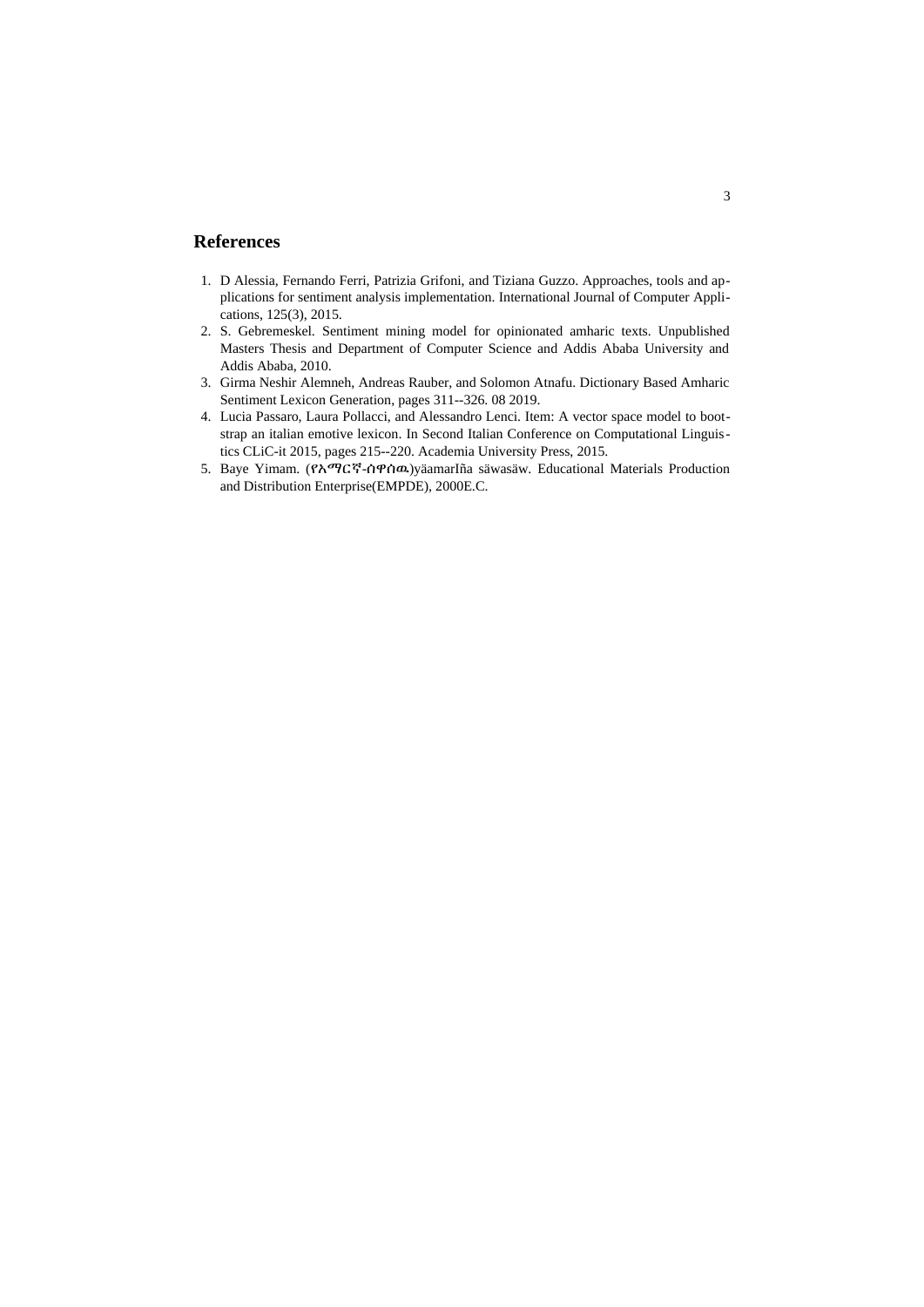## **References**

- 1. D Alessia, Fernando Ferri, Patrizia Grifoni, and Tiziana Guzzo. Approaches, tools and applications for sentiment analysis implementation. International Journal of Computer Applications, 125(3), 2015.
- 2. S. Gebremeskel. Sentiment mining model for opinionated amharic texts. Unpublished Masters Thesis and Department of Computer Science and Addis Ababa University and Addis Ababa, 2010.
- 3. Girma Neshir Alemneh, Andreas Rauber, and Solomon Atnafu. Dictionary Based Amharic Sentiment Lexicon Generation, pages 311--326. 08 2019.
- 4. Lucia Passaro, Laura Pollacci, and Alessandro Lenci. Item: A vector space model to bootstrap an italian emotive lexicon. In Second Italian Conference on Computational Linguistics CLiC-it 2015, pages 215--220. Academia University Press, 2015.
- 5. Baye Yimam. (የአማርኛ-ሰዋሰዉ) yäamarlña säwasäw. Educational Materials Production and Distribution Enterprise(EMPDE), 2000E.C.